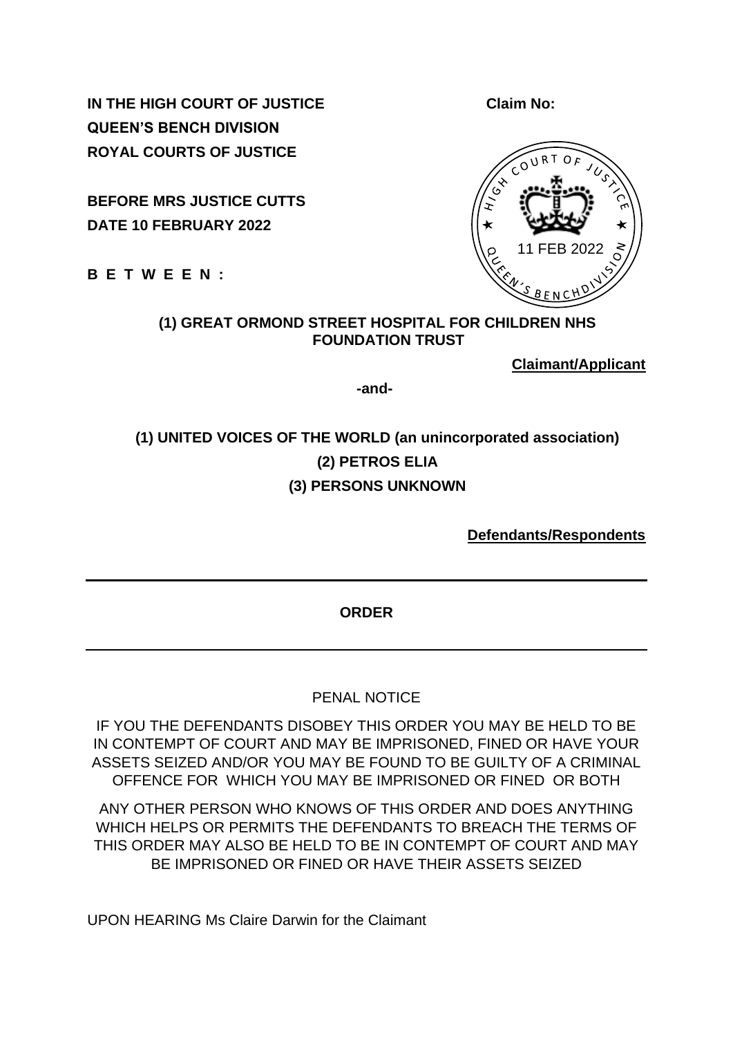**IN THE HIGH COURT OF JUSTICE CLAIM NO:** Claim No: **QUEEN'S BENCH DIVISION ROYAL COURTS OF JUSTICE**

**BEFORE MRS JUSTICE CUTTS DATE 10 FEBRUARY 2022**

**B E T W E E N :**

#### **(1) GREAT ORMOND STREET HOSPITAL FOR CHILDREN NHS FOUNDATION TRUST**

**Claimant/Applicant**

 **-and-**

# **(1) UNITED VOICES OF THE WORLD (an unincorporated association) (2) PETROS ELIA (3) PERSONS UNKNOWN**

**Defendants/Respondents**

**ORDER** 

PENAL NOTICE

IF YOU THE DEFENDANTS DISOBEY THIS ORDER YOU MAY BE HELD TO BE IN CONTEMPT OF COURT AND MAY BE IMPRISONED, FINED OR HAVE YOUR ASSETS SEIZED AND/OR YOU MAY BE FOUND TO BE GUILTY OF A CRIMINAL OFFENCE FOR WHICH YOU MAY BE IMPRISONED OR FINED OR BOTH

ANY OTHER PERSON WHO KNOWS OF THIS ORDER AND DOES ANYTHING WHICH HELPS OR PERMITS THE DEFENDANTS TO BREACH THE TERMS OF THIS ORDER MAY ALSO BE HELD TO BE IN CONTEMPT OF COURT AND MAY BE IMPRISONED OR FINED OR HAVE THEIR ASSETS SEIZED

UPON HEARING Ms Claire Darwin for the Claimant

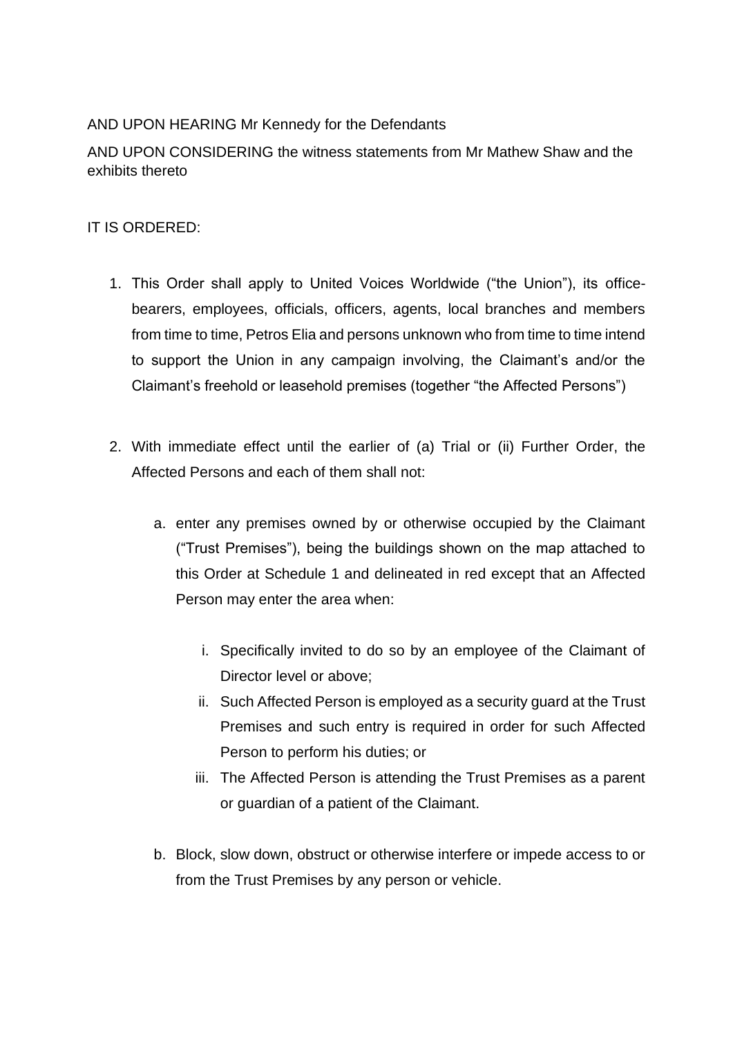### AND UPON HEARING Mr Kennedy for the Defendants

AND UPON CONSIDERING the witness statements from Mr Mathew Shaw and the exhibits thereto

#### IT IS ORDERED:

- 1. This Order shall apply to United Voices Worldwide ("the Union"), its officebearers, employees, officials, officers, agents, local branches and members from time to time, Petros Elia and persons unknown who from time to time intend to support the Union in any campaign involving, the Claimant's and/or the Claimant's freehold or leasehold premises (together "the Affected Persons")
- 2. With immediate effect until the earlier of (a) Trial or (ii) Further Order, the Affected Persons and each of them shall not:
	- a. enter any premises owned by or otherwise occupied by the Claimant ("Trust Premises"), being the buildings shown on the map attached to this Order at Schedule 1 and delineated in red except that an Affected Person may enter the area when:
		- i. Specifically invited to do so by an employee of the Claimant of Director level or above;
		- ii. Such Affected Person is employed as a security guard at the Trust Premises and such entry is required in order for such Affected Person to perform his duties; or
		- iii. The Affected Person is attending the Trust Premises as a parent or guardian of a patient of the Claimant.
	- b. Block, slow down, obstruct or otherwise interfere or impede access to or from the Trust Premises by any person or vehicle.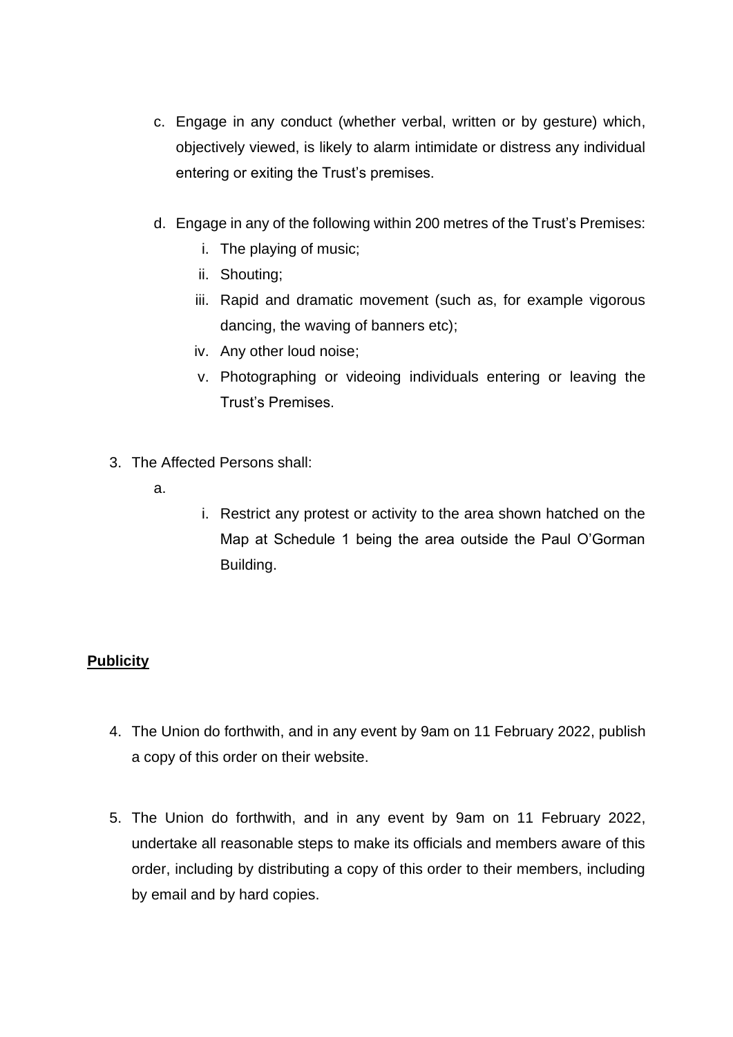- c. Engage in any conduct (whether verbal, written or by gesture) which, objectively viewed, is likely to alarm intimidate or distress any individual entering or exiting the Trust's premises.
- d. Engage in any of the following within 200 metres of the Trust's Premises:
	- i. The playing of music;
	- ii. Shouting;
	- iii. Rapid and dramatic movement (such as, for example vigorous dancing, the waving of banners etc);
	- iv. Any other loud noise;
	- v. Photographing or videoing individuals entering or leaving the Trust's Premises.
- 3. The Affected Persons shall:
	- a.
- i. Restrict any protest or activity to the area shown hatched on the Map at Schedule 1 being the area outside the Paul O'Gorman Building.

#### **Publicity**

- 4. The Union do forthwith, and in any event by 9am on 11 February 2022, publish a copy of this order on their website.
- 5. The Union do forthwith, and in any event by 9am on 11 February 2022, undertake all reasonable steps to make its officials and members aware of this order, including by distributing a copy of this order to their members, including by email and by hard copies.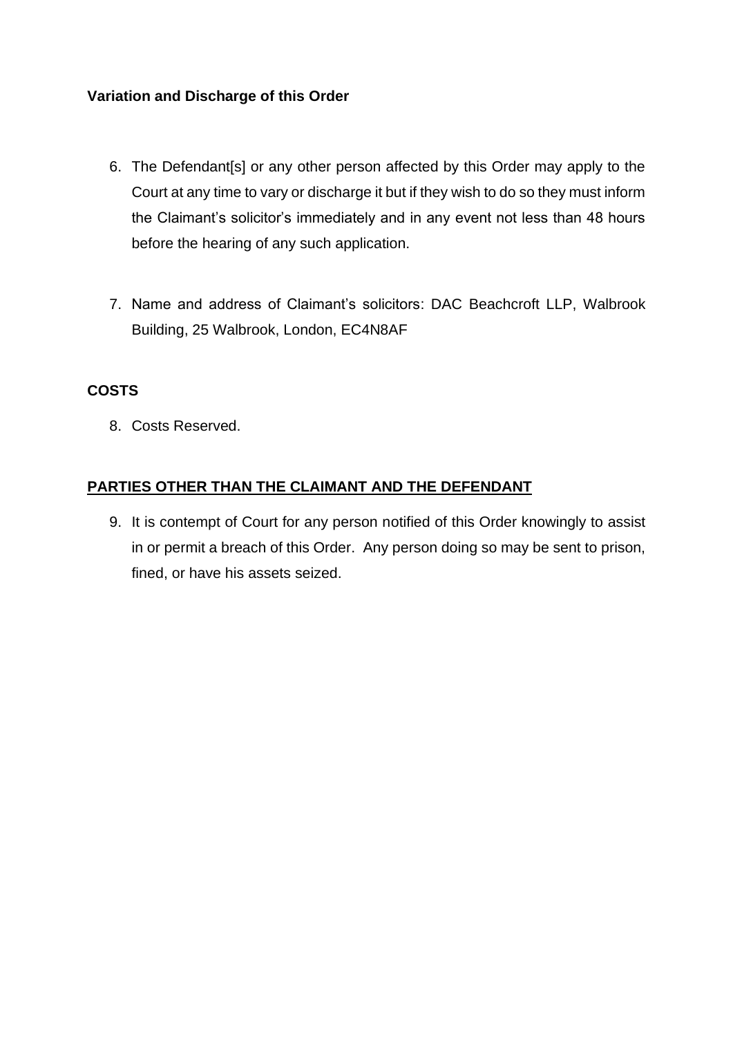#### **Variation and Discharge of this Order**

- 6. The Defendant[s] or any other person affected by this Order may apply to the Court at any time to vary or discharge it but if they wish to do so they must inform the Claimant's solicitor's immediately and in any event not less than 48 hours before the hearing of any such application.
- 7. Name and address of Claimant's solicitors: DAC Beachcroft LLP, Walbrook Building, 25 Walbrook, London, EC4N8AF

#### **COSTS**

8. Costs Reserved.

#### **PARTIES OTHER THAN THE CLAIMANT AND THE DEFENDANT**

9. It is contempt of Court for any person notified of this Order knowingly to assist in or permit a breach of this Order. Any person doing so may be sent to prison, fined, or have his assets seized.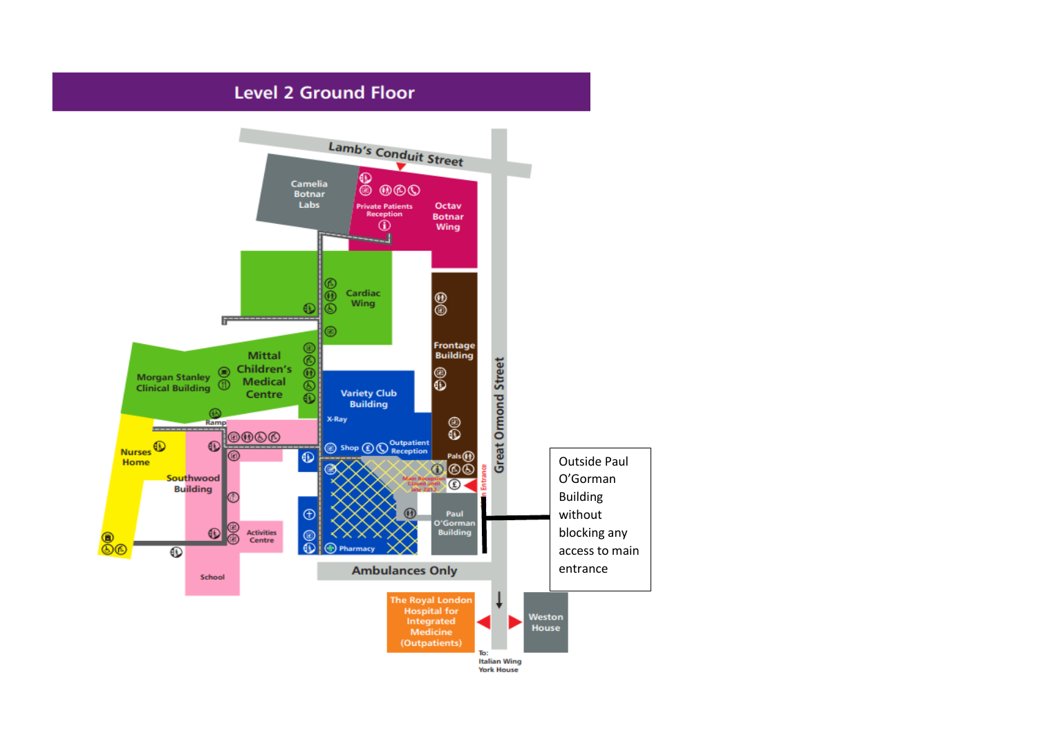## **Level 2 Ground Floor**